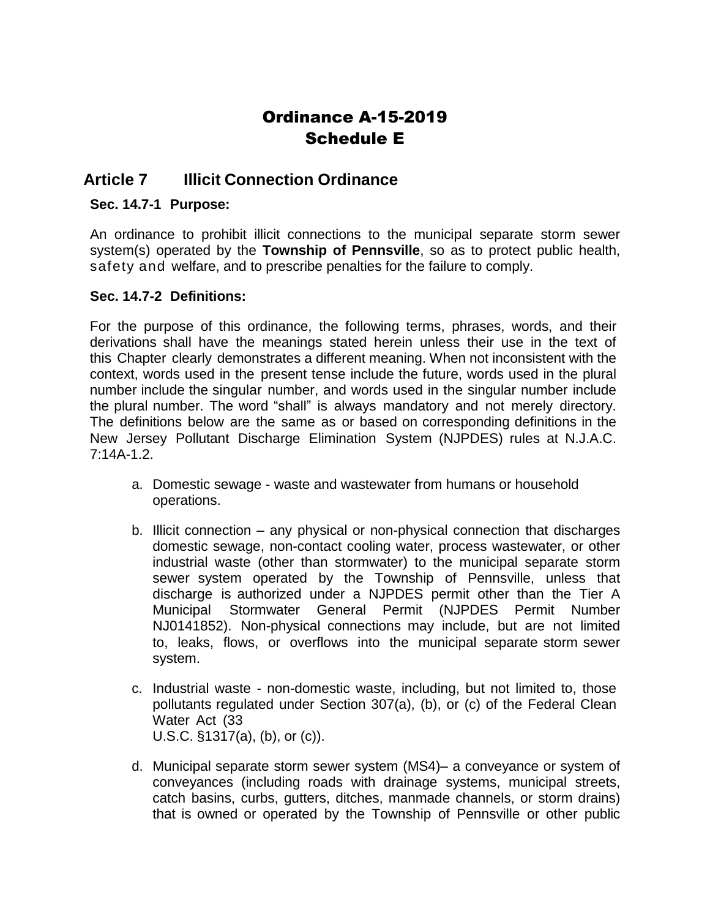## Ordinance A-15-2019 Schedule E

## **Article 7 Illicit Connection Ordinance**

## **Sec. 14.7-1 Purpose:**

An ordinance to prohibit illicit connections to the municipal separate storm sewer system(s) operated by the **Township of Pennsville**, so as to protect public health, safety and welfare, and to prescribe penalties for the failure to comply.

## **Sec. 14.7-2 Definitions:**

For the purpose of this ordinance, the following terms, phrases, words, and their derivations shall have the meanings stated herein unless their use in the text of this Chapter clearly demonstrates a different meaning. When not inconsistent with the context, words used in the present tense include the future, words used in the plural number include the singular number, and words used in the singular number include the plural number. The word "shall" is always mandatory and not merely directory. The definitions below are the same as or based on corresponding definitions in the New Jersey Pollutant Discharge Elimination System (NJPDES) rules at N.J.A.C. 7:14A-1.2.

- a. Domestic sewage waste and wastewater from humans or household operations.
- b. Illicit connection any physical or non-physical connection that discharges domestic sewage, non-contact cooling water, process wastewater, or other industrial waste (other than stormwater) to the municipal separate storm sewer system operated by the Township of Pennsville, unless that discharge is authorized under a NJPDES permit other than the Tier A Municipal Stormwater General Permit (NJPDES Permit Number NJ0141852). Non-physical connections may include, but are not limited to, leaks, flows, or overflows into the municipal separate storm sewer system.
- c. Industrial waste non-domestic waste, including, but not limited to, those pollutants regulated under Section 307(a), (b), or (c) of the Federal Clean Water Act (33 U.S.C. §1317(a), (b), or (c)).
- d. Municipal separate storm sewer system (MS4)– a conveyance or system of conveyances (including roads with drainage systems, municipal streets, catch basins, curbs, gutters, ditches, manmade channels, or storm drains) that is owned or operated by the Township of Pennsville or other public